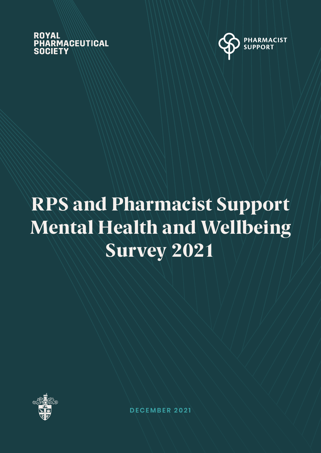### **ROYAL PHARMACEUTICAL** SOCIETY



# RPS and Pharmacist Support Mental Health and Wellbeing Survey 2021



**DECEMBER 2021**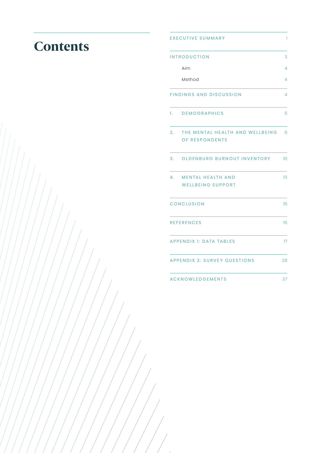### **Contents**

|    | <b>EXECUTIVE SUMMARY</b>                             | T              |
|----|------------------------------------------------------|----------------|
|    | <b>INTRODUCTION</b>                                  | 3              |
|    | Aim                                                  | 4              |
|    | Method                                               | 4              |
|    | <b>FINDINGS AND DISCUSSION</b>                       | $\overline{4}$ |
| 1. | <b>DEMOGRAPHICS</b>                                  | 5              |
| 2. | THE MENTAL HEALTH AND WELLBEING<br>OF RESPONDENTS    | 6              |
| 3. | OLDENBURG BURNOUT INVENTORY                          | 10             |
| 4. | <b>MENTAL HEALTH AND</b><br><b>WELLBEING SUPPORT</b> | 13             |
|    | CONCLUSION                                           | 15             |
|    | <b>REFERENCES</b>                                    | 16             |
|    | <b>APPENDIX 1: DATA TABLES</b>                       | 17             |
|    | <b>APPENDIX 2: SURVEY QUESTIONS</b>                  | 29             |
|    | <b>ACKNOWLEDGEMENTS</b>                              | 37             |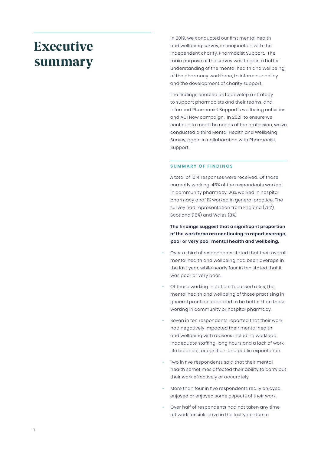### Executive summary

In 2019, we conducted our first mental health and wellbeing survey, in conjunction with the independent charity, Pharmacist Support. The main purpose of the survey was to gain a better understanding of the mental health and wellbeing of the pharmacy workforce, to inform our policy and the development of charity support.

The findings enabled us to develop a strategy to support pharmacists and their teams, and informed Pharmacist Support's wellbeing activities and ACTNow campaign. In 2021, to ensure we continue to meet the needs of the profession, we've conducted a third Mental Health and Wellbeing Survey, again in collaboration with Pharmacist Support.

#### **SUMMARY OF FINDINGS**

A total of 1014 responses were received. Of those currently working, 45% of the respondents worked in community pharmacy, 26% worked in hospital pharmacy and 11% worked in general practice. The survey had representation from England (75%), Scotland (16%) and Wales (8%).

**The findings suggest that a significant proportion of the workforce are continuing to report average, poor or very poor mental health and wellbeing.** 

- Over a third of respondents stated that their overall mental health and wellbeing had been average in the last year, while nearly four in ten stated that it was poor or very poor.
- Of those working in patient focussed roles, the mental health and wellbeing of those practising in general practice appeared to be better than those working in community or hospital pharmacy.
- Seven in ten respondents reported that their work had negatively impacted their mental health and wellbeing with reasons including workload, inadequate staffing, long hours and a lack of worklife balance, recognition, and public expectation.
- Two in five respondents said that their mental health sometimes affected their ability to carry out their work effectively or accurately.
- More than four in five respondents really enjoyed, enjoyed or enjoyed some aspects of their work.
- Over half of respondents had not taken any time off work for sick leave in the last year due to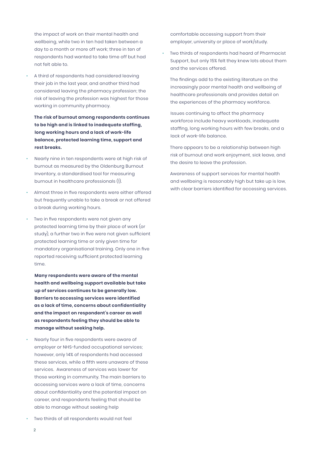the impact of work on their mental health and wellbeing, while two in ten had taken between a day to a month or more off work; three in ten of respondents had wanted to take time off but had not felt able to.

• A third of respondents had considered leaving their job in the last year, and another third had considered leaving the pharmacy profession; the risk of leaving the profession was highest for those working in community pharmacy.

**The risk of burnout among respondents continues to be high and is linked to inadequate staffing, long working hours and a lack of work-life balance, protected learning time, support and rest breaks.**

- Nearly nine in ten respondents were at high risk of burnout as measured by the Oldenburg Burnout Inventory, a standardised tool for measuring burnout in healthcare professionals (1).
- Almost three in five respondents were either offered but frequently unable to take a break or not offered a break during working hours.
- Two in five respondents were not given any protected learning time by their place of work (or study), a further two in five were not given sufficient protected learning time or only given time for mandatory organisational training. Only one in five reported receiving sufficient protected learning time.

**Many respondents were aware of the mental health and wellbeing support available but take up of services continues to be generally low. Barriers to accessing services were identified as a lack of time, concerns about confidentiality and the impact on respondent's career as well as respondents feeling they should be able to manage without seeking help.**

• Nearly four in five respondents were aware of employer or NHS-funded occupational services; however, only 14% of respondents had accessed these services, while a fifth were unaware of these services. Awareness of services was lower for those working in community. The main barriers to accessing services were a lack of time, concerns about confidentiality and the potential impact on career, and respondents feeling that should be able to manage without seeking help

comfortable accessing support from their employer, university or place of work/study.

• Two thirds of respondents had heard of Pharmacist Support, but only 15% felt they knew lots about them and the services offered.

The findings add to the existing literature on the increasingly poor mental health and wellbeing of healthcare professionals and provides detail on the experiences of the pharmacy workforce.

Issues continuing to affect the pharmacy workforce include heavy workloads, inadequate staffing, long working hours with few breaks, and a lack of work-life balance.

There appears to be a relationship between high risk of burnout and work enjoyment, sick leave, and the desire to leave the profession.

Awareness of support services for mental health and wellbeing is reasonably high but take up is low, with clear barriers identified for accessing services.

• Two thirds of all respondents would not feel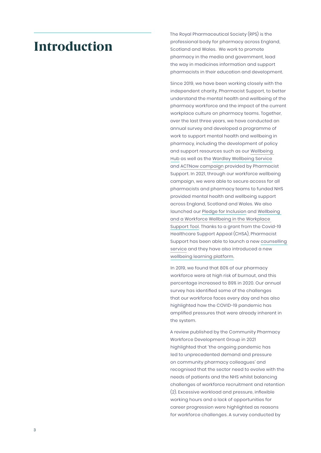### Introduction

The Royal Pharmaceutical Society (RPS) is the professional body for pharmacy across England, Scotland and Wales. We work to promote pharmacy in the media and government, lead the way in medicines information and support pharmacists in their education and development.

Since 2019, we have been working closely with the independent charity, Pharmacist Support, to better understand the mental health and wellbeing of the pharmacy workforce and the impact of the current workplace culture on pharmacy teams. Together, over the last three years, we have conducted an annual survey and developed a programme of work to support mental health and wellbeing in pharmacy, including the development of policy and support resources such as our [Wellbeing](https://www.rpharms.com/recognition/all-our-campaigns/workforce-wellbeing)  [Hub](https://www.rpharms.com/recognition/all-our-campaigns/workforce-wellbeing) as well as the [Wardley Wellbeing Service](https://pharmacistsupport.org/how-we-can-help/wellbeing-service/) and [ACTNow campaign](https://pharmacistsupport.org/news/the-actnow-wellbeing-campaign-is-back/) provided by Pharmacist Support. In 2021, through our workforce wellbeing campaign, we were able to secure access for all pharmacists and pharmacy teams to funded NHS provided mental health and wellbeing support across England, Scotland and Wales. We also launched our [Pledge for Inclusion](https://www.rpharms.com/pledge) and [Wellbeing](https://www.rpharms.com/Portals/0/RPS%20document%20library/Open%20access/Workforce%20Wellbeing/Workforce%20Wellbeing%20PDF%20-%20211007.pdf?ver=E6HeWiGNXOUnRWKioEBGSA%3D%3D)  [and a Workforce Wellbeing in the Workplace](https://www.rpharms.com/Portals/0/RPS%20document%20library/Open%20access/Workforce%20Wellbeing/Workforce%20Wellbeing%20PDF%20-%20211007.pdf?ver=E6HeWiGNXOUnRWKioEBGSA%3D%3D)  [Support Tool](https://www.rpharms.com/Portals/0/RPS%20document%20library/Open%20access/Workforce%20Wellbeing/Workforce%20Wellbeing%20PDF%20-%20211007.pdf?ver=E6HeWiGNXOUnRWKioEBGSA%3D%3D). Thanks to a grant from the Covid-19 Healthcare Support Appeal (CHSA), Pharmacist Support has been able to launch a new [counselling](https://pharmacistsupport.org/how-we-can-help/counselling-peer-support/)  [service](https://pharmacistsupport.org/how-we-can-help/counselling-peer-support/) and they have also introduced a new [wellbeing learning platform](https://pharmacistsupport.org/news/pharmacist-support-launches-new-wellbeing-learning-platform/).

In 2019, we found that 80% of our pharmacy workforce were at high risk of burnout, and this percentage increased to 89% in 2020. Our annual survey has identified some of the challenges that our workforce faces every day and has also highlighted how the COVID-19 pandemic has amplified pressures that were already inherent in the system.

A review published by the Community Pharmacy Workforce Development Group in 2021 highlighted that 'the ongoing pandemic has led to unprecedented demand and pressure on community pharmacy colleagues' and recognised that the sector need to evolve with the needs of patients and the NHS whilst balancing challenges of workforce recruitment and retention (2). Excessive workload and pressure, inflexible working hours and a lack of opportunities for career progression were highlighted as reasons for workforce challenges. A survey conducted by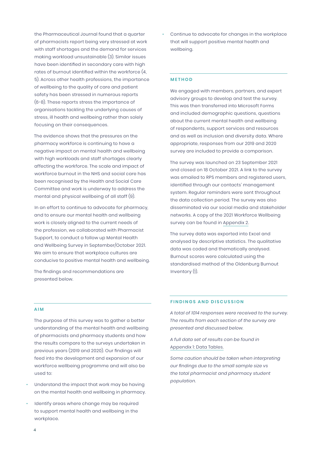the Pharmaceutical Journal found that a quarter of pharmacists report being very stressed at work with staff shortages and the demand for services making workload unsustainable (3). Similar issues have been identified in secondary care with high rates of burnout identified within the workforce (4, 5). Across other health professions, the importance of wellbeing to the quality of care and patient safety has been stressed in numerous reports (6-8). These reports stress the importance of organisations tackling the underlying causes of stress, ill health and wellbeing rather than solely focusing on their consequences.

The evidence shows that the pressures on the pharmacy workforce is continuing to have a negative impact on mental health and wellbeing with high workloads and staff shortages clearly affecting the workforce. The scale and impact of workforce burnout in the NHS and social care has been recognised by the Health and Social Care Committee and work is underway to address the mental and physical wellbeing of all staff (9).

In an effort to continue to advocate for pharmacy, and to ensure our mental health and wellbeing work is closely aligned to the current needs of the profession, we collaborated with Pharmacist Support, to conduct a follow up Mental Health and Wellbeing Survey in September/October 2021. We aim to ensure that workplace cultures are conducive to positive mental health and wellbeing.

The findings and recommendations are presented below.

• Continue to advocate for changes in the workplace that will support positive mental health and wellbeing.

#### **METHOD**

We engaged with members, partners, and expert advisory groups to develop and test the survey. This was then transferred into Microsoft Forms and included demographic questions, questions about the current mental health and wellbeing of respondents, support services and resources and as well as inclusion and diversity data. Where appropriate, responses from our 2019 and 2020 survey are included to provide a comparison.

The survey was launched on 23 September 2021 and closed on 18 October 2021. A link to the survey was emailed to RPS members and registered users, identified through our contacts' management system. Regular reminders were sent throughout the data collection period. The survey was also disseminated via our social media and stakeholder networks. A copy of the 2021 Workforce Wellbeing survey can be found in [Appendix 2.](#page-29-0)

The survey data was exported into Excel and analysed by descriptive statistics. The qualitative data was coded and thematically analysed. Burnout scores were calculated using the standardised method of the Oldenburg Burnout Inventory (1).

#### **AIM**

The purpose of this survey was to gather a better understanding of the mental health and wellbeing of pharmacists and pharmacy students and how the results compare to the surveys undertaken in previous years (2019 and 2020). Our findings will feed into the development and expansion of our workforce wellbeing programme and will also be used to:

- Understand the impact that work may be having on the mental health and wellbeing in pharmacy.
- Identify areas where change may be required to support mental health and wellbeing in the workplace.

#### **FINDINGS AND DISCUSSION**

*A total of 1014 responses were received to the survey. The results from each section of the survey are presented and discussed below.* 

*A full data set of results can be found in*  [Appendix 1: Data Tables](#page-18-0)*.*

*Some caution should be taken when interpreting our findings due to the small sample size vs the total pharmacist and pharmacy student population.*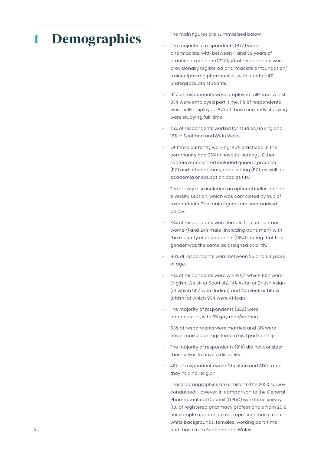## 1 Demographics

The main figures are summarised below.

- The majority of respondents (87%) were pharmacists, with between 11 and 39 years of practice experience (72%); 4% of respondents were provisionally registered pharmacists or foundation/ trainee/pre-reg pharmacists, with another 4% undergraduate students.
- 62% of respondents were employed full-time, whilst 33% were employed part-time. 11% of respondents were self-employed. 87% of those currently studying were studying full-time.
- 75% of respondents worked (or studied) in England, 16% in Scotland and 8% in Wales.
- Of those currently working, 45% practiced in the community and 26% in hospital settings. Other sectors represented included general practice (11%) and other primary care setting (5%), as well as academia or education bodies (4%).

The survey also included an optional inclusion and diversity section, which was completed by 96% of respondents. The main figures are summarised below:

- 73% of respondents were female (including trans women) and 24% male (including trans men), with the majority of respondents (98%) stating that their gender was the same as assigned at birth.
- 86% of respondents were between 25 and 64 years of age.
- 73% of respondents were white (of which 86% were English, Welsh or Scottish), 14% Asian or British Asian (of which 59% were Indian) and 4% black or black British (of which 93% were African).
- The majority of respondents (82%) were heterosexual, with 3% gay men/women.
- 53% of respondents were married and 31% were never married or registered a civil partnership.
- The majority of respondents (91%) did not consider themselves to have a disability.
- 46% of respondents were Christian and 31% stated they had no religion.

These demographics are similar to the 2020 survey conducted. However, in comparison to the General Pharmaceutical Council (GPhC) workforce survey (10) of registered pharmacy professionals from 2019, our sample appears to overrepresent those from white backgrounds, females, working part-time and those from Scotland and Wales.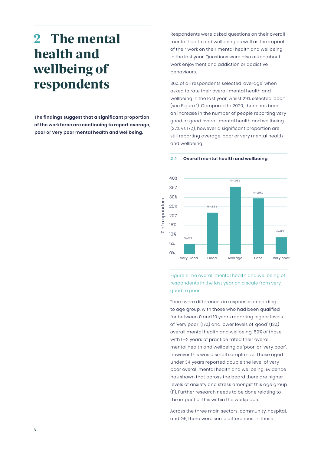### 2 The mental health and wellbeing of respondents

**The findings suggest that a significant proportion of the workforce are continuing to report average, poor or very poor mental health and wellbeing.** 

Respondents were asked questions on their overall mental health and wellbeing as well as the impact of their work on their mental health and wellbeing in the last year. Questions were also asked about work enjoyment and addiction or addictive behaviours.

36% of all respondents selected 'average' when asked to rate their overall mental health and wellbeing in the last year, whilst 29% selected 'poor' (see Figure 1). Compared to 2020, there has been an increase in the number of people reporting very good or good overall mental health and wellbeing (27% vs 17%), however a significant proportion are still reporting average, poor or very mental health and wellbeing.



#### **2 .1 Overall mental health and wellbeing**

Figure 1: The overall mental health and wellbeing of respondents in the last year on a scale from very good to poor.

There were differences in responses according to age group, with those who had been qualified for between 0 and 10 years reporting higher levels of 'very poor' (17%) and lower levels of 'good' (13%) overall mental health and wellbeing. 59% of those with 0-2 years of practice rated their overall mental health and wellbeing as 'poor' or 'very poor', however this was a small sample size. Those aged under 34 years reported double the level of very poor overall mental health and wellbeing. Evidence has shown that across the board there are higher levels of anxiety and stress amongst this age group (11). Further research needs to be done relating to the impact of this within the workplace.

Across the three main sectors, community, hospital, and GP, there were some differences. In those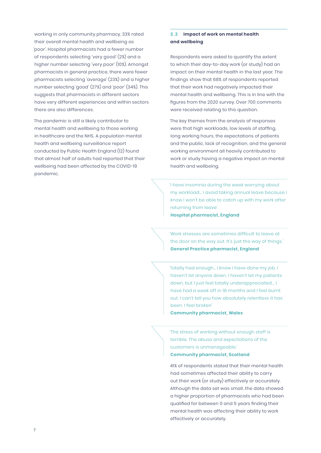working in only community pharmacy, 33% rated their overall mental health and wellbeing as 'poor'. Hospital pharmacists had a fewer number of respondents selecting 'very good' (2%) and a higher number selecting 'very poor' (10%). Amongst pharmacists in general practice, there were fewer pharmacists selecting 'average' (23%) and a higher number selecting 'good' (27%) and 'poor' (34%). This suggests that pharmacists in different sectors have very different experiences and within sectors there are also differences.

The pandemic is still a likely contributor to mental health and wellbeing to those working in healthcare and the NHS. A population mental health and wellbeing surveillance report conducted by Public Health England (12) found that almost half of adults had reported that their wellbeing had been affected by the COVID-19 pandemic.

#### **2 . 2 Impact of work on mental health and wellbeing**

Respondents were asked to quantify the extent to which their day-to-day work (or study) had an impact on their mental health in the last year. The findings show that 68% of respondents reported that their work had negatively impacted their mental health and wellbeing. This is in line with the figures from the 2020 survey. Over 700 comments were received relating to this question.

The key themes from the analysis of responses were that high workloads, low levels of staffing, long working hours, the expectations of patients and the public, lack of recognition, and the general working environment all heavily contributed to work or study having a negative impact on mental health and wellbeing.

'I have insomnia during the week worrying about my workload… I avoid taking annual leave because I know I won't be able to catch up with my work after returning from leave' **Hospital pharmacist, England** 

'Work stresses are sometimes difficult to leave at the door on the way out. It's just the way of things.' **General Practice pharmacist, England**

Totally had enough… I know I have done my job, I haven't let anyone down, I haven't let my patients down, but I just feel totally underappreciated... I have had a week off in 18 months and I feel burnt out. I can't tell you how absolutely relentless it has been. I feel broken'

**Community pharmacist, Wales**

'The stress of working without enough staff is terrible. The abuse and expectations of the customers is unmanageable.'

#### **Community pharmacist, Scotland**

41% of respondents stated that their mental health had sometimes affected their ability to carry out their work (or study) effectively or accurately. Although the data set was small, the data showed a higher proportion of pharmacists who had been qualified for between 0 and 5 years finding their mental health was affecting their ability to work effectively or accurately.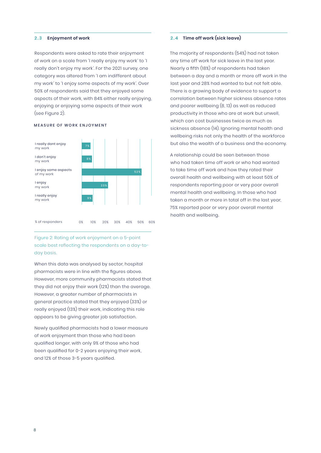#### **2 . 3 Enjoyment of work**

Respondents were asked to rate their enjoyment of work on a scale from 'I really enjoy my work' to 'I really don't enjoy my work'. For the 2021 survey, one category was altered from 'I am indifferent about my work' to 'I enjoy some aspects of my work'. Over 50% of respondents said that they enjoyed some aspects of their work, with 84% either really enjoying, enjoying or enjoying some aspects of their work (see Figure 2).

#### MEASURE OF WORK ENJOYMENT



Figure 2: Rating of work enjoyment on a 5-point scale best reflecting the respondents on a day-today basis.

When this data was analysed by sector, hospital pharmacists were in line with the figures above. However, more community pharmacists stated that they did not enjoy their work (12%) than the average. However, a greater number of pharmacists in general practice stated that they enjoyed (33%) or really enjoyed (13%) their work, indicating this role appears to be giving greater job satisfaction.

Newly qualified pharmacists had a lower measure of work enjoyment than those who had been qualified longer, with only 9% of those who had been qualified for 0-2 years enjoying their work, and 12% of those 3-5 years qualified.

#### **2 . 4 Time off work (sick leave)**

The majority of respondents (54%) had not taken any time off work for sick leave in the last year. Nearly a fifth (18%) of respondents had taken between a day and a month or more off work in the last year and 28% had wanted to but not felt able. There is a growing body of evidence to support a correlation between higher sickness absence rates and poorer wellbeing (8, 13) as well as reduced productivity in those who are at work but unwell, which can cost businesses twice as much as sickness absence (14). Ignoring mental health and wellbeing risks not only the health of the workforce but also the wealth of a business and the economy.

A relationship could be seen between those who had taken time off work or who had wanted to take time off work and how they rated their overall health and wellbeing with at least 50% of respondents reporting poor or very poor overall mental health and wellbeing. In those who had taken a month or more in total off in the last year, 75% reported poor or very poor overall mental health and wellbeing.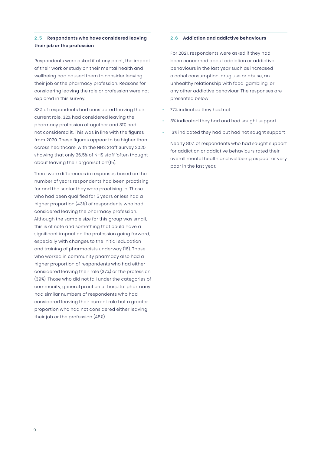#### **2 . 5 Respondents who have considered leaving their job or the profession**

Respondents were asked if at any point, the impact of their work or study on their mental health and wellbeing had caused them to consider leaving their job or the pharmacy profession. Reasons for considering leaving the role or profession were not explored in this survey.

33% of respondents had considered leaving their current role, 32% had considered leaving the pharmacy profession altogether and 31% had not considered it. This was in line with the figures from 2020. These figures appear to be higher than across healthcare, with the NHS Staff Survey 2020 showing that only 26.5% of NHS staff 'often thought about leaving their organisation'(15).

There were differences in responses based on the number of years respondents had been practising for and the sector they were practising in. Those who had been qualified for 5 years or less had a higher proportion (43%) of respondents who had considered leaving the pharmacy profession. Although the sample size for this group was small, this is of note and something that could have a significant impact on the profession going forward, especially with changes to the initial education and training of pharmacists underway (16). Those who worked in community pharmacy also had a higher proportion of respondents who had either considered leaving their role (37%) or the profession (39%). Those who did not fall under the categories of community, general practice or hospital pharmacy had similar numbers of respondents who had considered leaving their current role but a greater proportion who had not considered either leaving their job or the profession (45%).

#### **2 . 6 Addiction and addictive behaviours**

For 2021, respondents were asked if they had been concerned about addiction or addictive behaviours in the last year such as increased alcohol consumption, drug use or abuse, an unhealthy relationship with food, gambling, or any other addictive behaviour. The responses are presented below:

- 77% indicated they had not
- 3% indicated they had and had sought support
- 13% indicated they had but had not sought support

Nearly 80% of respondents who had sought support for addiction or addictive behaviours rated their overall mental health and wellbeing as poor or very poor in the last year.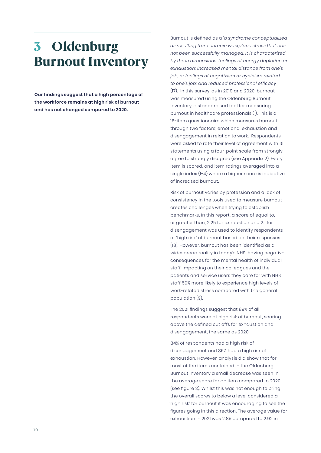### 3 Oldenburg Burnout Inventory

**Our findings suggest that a high percentage of the workforce remains at high risk of burnout and has not changed compared to 2020.**

Burnout is defined as a *'a syndrome conceptualized as resulting from chronic workplace stress that has not been successfully managed. It is characterized by three dimensions: feelings of energy depletion or exhaustion; increased mental distance from one's job, or feelings of negativism or cynicism related to one's job; and reduced professional efficacy* (17). In this survey, as in 2019 and 2020, burnout was measured using the Oldenburg Burnout Inventory, a standardised tool for measuring burnout in healthcare professionals (1). This is a 16-item questionnaire which measures burnout through two factors; emotional exhaustion and disengagement in relation to work. Respondents were asked to rate their level of agreement with 16 statements using a four-point scale from strongly agree to strongly disagree (see Appendix 2). Every item is scored, and item ratings averaged into a single index (1-4) where a higher score is indicative of increased burnout.

Risk of burnout varies by profession and a lack of consistency in the tools used to measure burnout creates challenges when trying to establish benchmarks. In this report, a score of equal to, or greater than, 2.25 for exhaustion and 2.1 for disengagement was used to identify respondents at 'high risk' of burnout based on their responses (18). However, burnout has been identified as a widespread reality in today's NHS, having negative consequences for the mental health of individual staff, impacting on their colleagues and the patients and service users they care for with NHS staff 50% more likely to experience high levels of work-related stress compared with the general population (9).

The 2021 findings suggest that 89% of all respondents were at high risk of burnout, scoring above the defined cut offs for exhaustion and disengagement, the same as 2020.

84% of respondents had a high risk of disengagement and 85% had a high risk of exhaustion. However, analysis did show that for most of the items contained in the Oldenburg Burnout Inventory a small decrease was seen in the average score for an item compared to 2020 (see figure 3). Whilst this was not enough to bring the overall scores to below a level considered a 'high risk' for burnout it was encouraging to see the figures going in this direction. The average value for exhaustion in 2021 was 2.85 compared to 2.92 in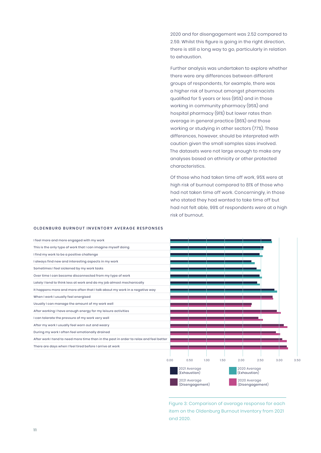2020 and for disengagement was 2.52 compared to 2.59. Whilst this figure is going in the right direction, there is still a long way to go, particularly in relation to exhaustion.

Further analysis was undertaken to explore whether there were any differences between different groups of respondents, for example, there was a higher risk of burnout amongst pharmacists qualified for 5 years or less (95%) and in those working in community pharmacy (95%) and hospital pharmacy (91%) but lower rates than average in general practice (86%) and those working or studying in other sectors (77%). These differences, however, should be interpreted with caution given the small samples sizes involved. The datasets were not large enough to make any analyses based on ethnicity or other protected characteristics.

Of those who had taken time off work, 95% were at high risk of burnout compared to 81% of those who had not taken time off work. Concerningly, in those who stated they had wanted to take time off but had not felt able, 99% of respondents were at a high risk of burnout.

#### OLDENBURG BURNOUT INVENTORY AVERAGE RESPONSES



Figure 3: Comparison of average response for each item on the Oldenburg Burnout Inventory from 2021 and 2020.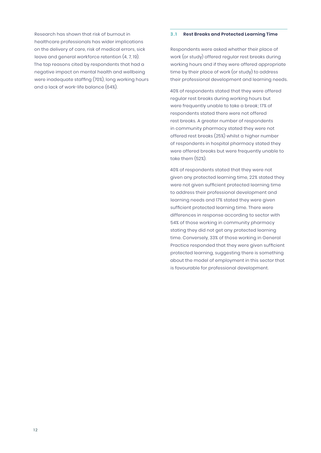Research has shown that risk of burnout in healthcare professionals has wider implications on the delivery of care, risk of medical errors, sick leave and general workforce retention (4, 7, 19). The top reasons cited by respondents that had a negative impact on mental health and wellbeing were inadequate staffing (70%), long working hours and a lack of work-life balance (64%).

#### **3 .1 Rest Breaks and Protected Learning Time**

Respondents were asked whether their place of work (or study) offered regular rest breaks during working hours and if they were offered appropriate time by their place of work (or study) to address their professional development and learning needs.

40% of respondents stated that they were offered regular rest breaks during working hours but were frequently unable to take a break; 17% of respondents stated there were not offered rest breaks. A greater number of respondents in community pharmacy stated they were not offered rest breaks (25%) whilst a higher number of respondents in hospital pharmacy stated they were offered breaks but were frequently unable to take them (52%).

40% of respondents stated that they were not given any protected learning time, 22% stated they were not given sufficient protected learning time to address their professional development and learning needs and 17% stated they were given sufficient protected learning time. There were differences in response according to sector with 54% of those working in community pharmacy stating they did not get any protected learning time. Conversely, 33% of those working in General Practice responded that they were given sufficient protected learning, suggesting there is something about the model of employment in this sector that is favourable for professional development.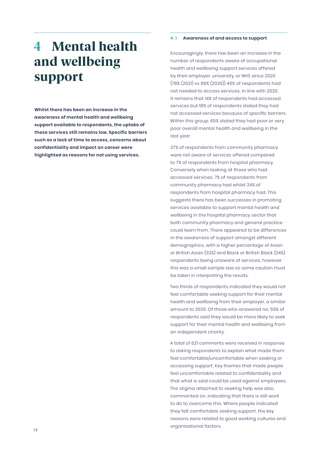## 4 Mental health and wellbeing support

**Whilst there has been an increase in the awareness of mental health and wellbeing support available to respondents, the uptake of these services still remains low. Specific barriers such as a lack of time to access, concerns about confidentiality and impact on career were highlighted as reasons for not using services.**

#### **4 .1 Awareness of and access to support**

Encouragingly, there has been an increase in the number of respondents aware of occupational health and wellbeing support services offered by their employer, university, or NHS since 2020 (78% (2021) vs 66% (2020)) 45% of respondents had not needed to access services. In line with 2020, it remains that 14% of respondents had accessed services but 18% of respondents stated they had not accessed services because of specific barriers. Within this group, 65% stated they had poor or very poor overall mental health and wellbeing in the last year.

37% of respondents from community pharmacy were not aware of services offered compared to 7% of respondents from hospital pharmacy. Conversely when looking at those who had accessed services, 7% of respondents from community pharmacy had whilst 24% of respondents from hospital pharmacy had. This suggests there has been successes in promoting services available to support mental health and wellbeing in the hospital pharmacy sector that both community pharmacy and general practice could learn from. There appeared to be differences in the awareness of support amongst different demographics, with a higher percentage of Asian or British Asian (32%) and Black or British Black (34%) respondents being unaware of services, however this was a small sample size so some caution must be taken in interpreting the results.

Two thirds of respondents indicated they would not feel comfortable seeking support for their mental health and wellbeing from their employer, a similar amount to 2020. Of those who answered no, 59% of respondents said they would be more likely to seek support for their mental health and wellbeing from an independent charity.

A total of 621 comments were received in response to asking respondents to explain what made them feel comfortable/uncomfortable when seeking or accessing support. Key themes that made people feel uncomfortable related to confidentiality and that what is said could be used against employees. The stigma attached to seeking help was also commented on, indicating that there is still work to do to overcome this. Where people indicated they felt comfortable seeking support, the key reasons were related to good working cultures and organisational factors.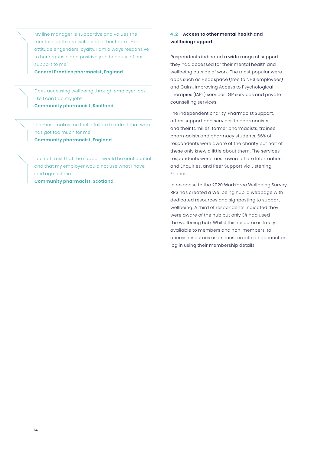'My line manager is supportive and values the mental health and wellbeing of her team… Her attitude engenders loyalty. I am always responsive to her requests and positively so because of her support to me.'

**General Practice pharmacist, England**

'Does accessing wellbeing through employer look like I can't do my job?' **Community pharmacist, Scotland**

'It almost makes me feel a failure to admit that work has got too much for me' **Community pharmacist, England**

'I do not trust that the support would be confidential and that my employer would not use what I have said against me.'

**Community pharmacist, Scotland**

#### **4 . 2 Access to other mental health and wellbeing support**

Respondents indicated a wide range of support they had accessed for their mental health and wellbeing outside of work. The most popular were apps such as Headspace (free to NHS employees) and Calm, Improving Access to Psychological Therapies (IAPT) services, GP services and private counselling services.

The independent charity, Pharmacist Support, offers support and services to pharmacists and their families, former pharmacists, trainee pharmacists and pharmacy students. 66% of respondents were aware of the charity but half of these only knew a little about them. The services respondents were most aware of are Information and Enquiries, and Peer Support via Listening Friends.

In response to the 2020 Workforce Wellbeing Survey, RPS has created a Wellbeing hub, a webpage with dedicated resources and signposting to support wellbeing. A third of respondents indicated they were aware of the hub but only 3% had used the wellbeing hub. Whilst this resource is freely available to members and non-members, to access resources users must create an account or log in using their membership details.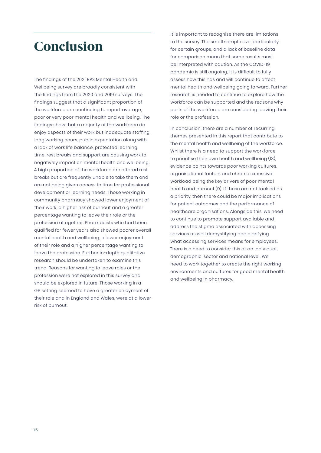### Conclusion

The findings of the 2021 RPS Mental Health and Wellbeing survey are broadly consistent with the findings from the 2020 and 2019 surveys. The findings suggest that a significant proportion of the workforce are continuing to report average, poor or very poor mental health and wellbeing. The findings show that a majority of the workforce do enjoy aspects of their work but inadequate staffing, long working hours, public expectation along with a lack of work life balance, protected learning time, rest breaks and support are causing work to negatively impact on mental health and wellbeing. A high proportion of the workforce are offered rest breaks but are frequently unable to take them and are not being given access to time for professional development or learning needs. Those working in community pharmacy showed lower enjoyment of their work, a higher risk of burnout and a greater percentage wanting to leave their role or the profession altogether. Pharmacists who had been qualified for fewer years also showed poorer overall mental health and wellbeing, a lower enjoyment of their role and a higher percentage wanting to leave the profession. Further in-depth qualitative research should be undertaken to examine this trend. Reasons for wanting to leave roles or the profession were not explored in this survey and should be explored in future. Those working in a GP setting seemed to have a greater enjoyment of their role and in England and Wales, were at a lower risk of burnout.

It is important to recognise there are limitations to the survey. The small sample size, particularly for certain groups, and a lack of baseline data for comparison mean that some results must be interpreted with caution. As the COVID-19 pandemic is still ongoing, it is difficult to fully assess how this has and will continue to affect mental health and wellbeing going forward. Further research is needed to continue to explore how the workforce can be supported and the reasons why parts of the workforce are considering leaving their role or the profession.

In conclusion, there are a number of recurring themes presented in this report that contribute to the mental health and wellbeing of the workforce. Whilst there is a need to support the workforce to prioritise their own health and wellbeing (13), evidence points towards poor working cultures, organisational factors and chronic excessive workload being the key drivers of poor mental health and burnout (9). If these are not tackled as a priority, then there could be major implications for patient outcomes and the performance of healthcare organisations. Alongside this, we need to continue to promote support available and address the stigma associated with accessing services as well demystifying and clarifying what accessing services means for employees. There is a need to consider this at an individual, demographic, sector and national level. We need to work together to create the right working environments and cultures for good mental health and wellbeing in pharmacy.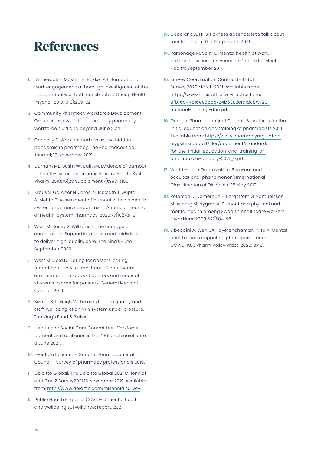### References

- 1. Demerouti E, Mostert K, Bakker AB. Burnout and work engagement: a thorough investigation of the independency of both constructs. J Occup Health Psychol. 2010;15(3):209-22.
- 2. Community Pharmacy Workforce Development Group. A review of the community pharmacy workforce. 2021 and beyond. June 2021.
- 3. Connelly D. Work-related stress: the hidden pandemic in pharmacy. The Pharmaceutical Journal; 18 November 2021.
- 4. Durham ME, Bush PW, Ball AM. Evidence of burnout in health-system pharmacists. Am J Health Syst Pharm. 2018;75(23 Supplement 4):S93-s100.
- 5. Kraus S, Gardner N, Jarosi N, McMath T, Gupta A, Mehta B. Assessment of burnout within a healthsystem pharmacy department. American Journal of Health-System Pharmacy. 2020;77(10):781-9.
- 6. West M, Bailey S, Williams E. The courage of compassion. Supporting nurses and midwives to deliver high-quality care. The King's Fund; September 2020.
- 7. West M, Coia D. Caring for doctors, caring for patients: How to transform UK healthcare environments to support doctors and medical students to care for patients. General Medical Council. 2019.
- 8. Sizmur S, Raleigh V. The risks to care quality and staff wellbeing of an NHS system under pressure. The King's Fund & Picker.
- 9. Health and Social Care Committee. Workforce burnout and resilience in the NHS and social care. 8 June 2021.
- 10. Eventure Research. General Pharmaceutical Council - Survey of pharmacy professionals 2019.
- 11. Deloitte Global. The Deloitte Global 2021 Millennial and Gen Z Survey2021 16 November 2021. Available from: <http://www.deloitte.com/millennialsurvey>.
- 12. Public Health England. COVID-19 mental health and wellbeing surveillance: report. 2021.
- 13. Copeland A. NHS sickness absence: let's talk about mental health. The King's Fund; 2019.
- 14. Parsonage M, Saini G. Mental health at work. The business cost ten years on. Centre for Mental Health; September 2017.
- 15. Survey Coordination Centre. NHS Staff Survey 2020 March 2021. Available from: [https://www.nhsstaffsurveys.com/static/](https://www.nhsstaffsurveys.com/static/afb76a44d16ee5bbc764b6382efa1dc8/ST20-national-briefing-doc.p) [afb76a44d16ee5bbc764b6382efa1dc8/ST20](https://www.nhsstaffsurveys.com/static/afb76a44d16ee5bbc764b6382efa1dc8/ST20-national-briefing-doc.p) [national-briefing-doc.pdf](https://www.nhsstaffsurveys.com/static/afb76a44d16ee5bbc764b6382efa1dc8/ST20-national-briefing-doc.p).
- 16. General Pharmaceutical Council. Standards for the initial education and training of pharmacists 2021. Available from: [https://www.pharmacyregulation.](https://www.pharmacyregulation.org/sites/default/files/document/standards-for-the-initial-education-) [org/sites/default/files/document/standards](https://www.pharmacyregulation.org/sites/default/files/document/standards-for-the-initial-education-)[for-the-initial-education-and-training-of](https://www.pharmacyregulation.org/sites/default/files/document/standards-for-the-initial-education-)[pharmacists-january-2021\\_0.pdf.](https://www.pharmacyregulation.org/sites/default/files/document/standards-for-the-initial-education-)
- 17. World Health Organization. Burn-out and "occupational phenomenon": International Classification of Diseases. 28 May 2019.
- 18. Peterson U, Demerouti E, Bergström G, Samuelsson M, Asberg M, Nygren A. Burnout and physical and mental health among Swedish healthcare workers. J Adv Nurs. 2008;62(1):84-95.
- 19. Elbeddini A, Wen CX, Tayefehchamani Y, To A. Mental health issues impacting pharmacists during COVID-19. J Pharm Policy Pract. 2020;13:46.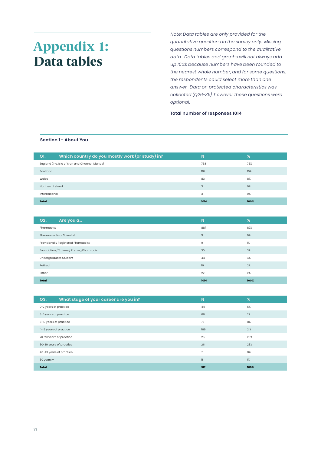### <span id="page-18-0"></span>Appendix 1: Data tables

*Note: Data tables are only provided for the quantitative questions in the survey only. Missing questions numbers correspond to the qualitative data. Data tables and graphs will not always add up 100% because numbers have been rounded to the nearest whole number, and for some questions, the respondents could select more than one answer. Data on protected characteristics was collected (Q26-35), however these questions were optional.*

**Total number of responses 1014**

#### **Section 1 - About You**

| Which country do you mostly work (or study) in?<br>Q1. | N.   | %    |
|--------------------------------------------------------|------|------|
| England (inc. Isle of Man and Channel Islands)         | 758  | 75%  |
| Scotland                                               | 167  | 16%  |
| Wales                                                  | 83   | 8%   |
| Northern Ireland                                       | 3    | 0%   |
| International                                          | 3    | 0%   |
| <b>Total</b>                                           | 1014 | 100% |

| Q2.                                            | Are you a                       | N    | $\%$ |
|------------------------------------------------|---------------------------------|------|------|
| Pharmacist                                     |                                 | 887  | 87%  |
|                                                | <b>Pharmaceutical Scientist</b> | 3    | 0%   |
| Provisionally Registered Pharmacist<br>9<br>1% |                                 |      |      |
| Foundation / Trainee / Pre-reg Pharmacist      |                                 | 30   | 3%   |
|                                                | Undergraduate Student           | 44   | 4%   |
| Retired                                        |                                 | 19   | 2%   |
| 22<br>2%<br>Other                              |                                 |      |      |
| <b>Total</b>                                   |                                 | 1014 | 100% |

| What stage of your career are you in?<br>Q3. | N            | %    |
|----------------------------------------------|--------------|------|
| 0-2 years of practice                        | 44           | 5%   |
| 3-5 years of practice                        | 60           | 7%   |
| 6-10 years of practice                       | 75           | 8%   |
| 11-19 years of practice                      | 189          | 21%  |
| 20-29 years of practice                      | 251          | 28%  |
| 30-39 years of practice                      | 211          | 23%  |
| 40-49 years of practice                      | 71           | 8%   |
| 50 years +                                   | $\mathbf{1}$ | 1%   |
| <b>Total</b>                                 | 912          | 100% |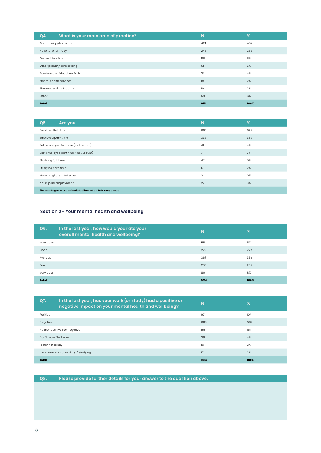| What is your main area of practice?<br>Q4. | N   | %    |
|--------------------------------------------|-----|------|
| Community pharmacy                         | 424 | 45%  |
| Hospital pharmacy                          | 246 | 26%  |
| General Practice                           | 101 | 11%  |
| Other primary care setting                 | 51  | 5%   |
| Academia or Education Body                 | 37  | 4%   |
| Mental health services                     | 18  | 2%   |
| Pharmaceutical Industry                    | 16  | 2%   |
| Other                                      | 58  | 6%   |
| Total                                      | 951 | 100% |

| Q5.<br>Are you                                       | N   | %   |
|------------------------------------------------------|-----|-----|
| Employed full-time                                   | 630 | 62% |
| Employed part-time                                   | 332 | 33% |
| Self-employed full-time (incl. Locum)                | 41  | 4%  |
| Self-employed part-time (incl. Locum)                | 71  | 7%  |
| Studying full-time                                   | 47  | 5%  |
| Studying part-time                                   | 17  | 2%  |
| Maternity/Paternity Leave                            | 3   | 0%  |
| Not in paid employment                               | 27  | 3%  |
| *Percentages were calculated based on 1014 responses |     |     |

#### **Section 2 - Your mental health and wellbeing**

| Q6.          | In the last year, how would you rate your<br>overall mental health and wellbeing? | N    | $\%$ |
|--------------|-----------------------------------------------------------------------------------|------|------|
| Very good    |                                                                                   | 55   | 5%   |
| Good         |                                                                                   | 222  | 22%  |
| Average      |                                                                                   | 368  | 36%  |
| Poor         |                                                                                   | 289  | 29%  |
| Very poor    |                                                                                   | 80   | 8%   |
| <b>Total</b> |                                                                                   | 1014 | 100% |

| Q7.                                   | In the last year, has your work (or study) had a positive or<br>negative impact on your mental health and wellbeing? | N    | %    |
|---------------------------------------|----------------------------------------------------------------------------------------------------------------------|------|------|
| Positive                              |                                                                                                                      | 97   | 10%  |
| Negative                              |                                                                                                                      | 688  | 68%  |
|                                       | Neither positive nor negative                                                                                        | 158  | 16%  |
| Don't know / Not sure                 |                                                                                                                      | 38   | 4%   |
| Prefer not to say                     |                                                                                                                      | 16   | 2%   |
| I am currently not working / studying |                                                                                                                      | 17   | 2%   |
| <b>Total</b>                          |                                                                                                                      | 1014 | 100% |

**Q8. Please provide further details for your answer to the question above.**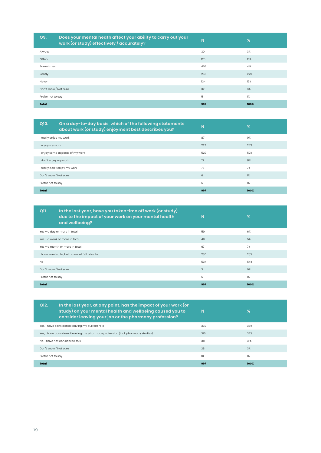| Q9.                   | Does your mental heath affect your ability to carry out your<br>work (or study) effectively / accurately? | N   | %    |
|-----------------------|-----------------------------------------------------------------------------------------------------------|-----|------|
| Always                |                                                                                                           | 30  | 3%   |
| Often                 |                                                                                                           | 125 | 13%  |
| Sometimes             |                                                                                                           | 406 | 41%  |
| Rarely                |                                                                                                           | 265 | 27%  |
| Never                 |                                                                                                           | 134 | 13%  |
| Don't know / Not sure |                                                                                                           | 32  | 3%   |
| Prefer not to say     |                                                                                                           | 5   | 1%   |
| <b>Total</b>          |                                                                                                           | 997 | 100% |

| Q10.                            | On a day-to-day basis, which of the following statements<br>about work (or study) enjoyment best describes you? | N   | %    |
|---------------------------------|-----------------------------------------------------------------------------------------------------------------|-----|------|
| I really enjoy my work          |                                                                                                                 | 87  | 9%   |
| I enjoy my work                 |                                                                                                                 | 227 | 23%  |
| I enjoy some aspects of my work |                                                                                                                 | 522 | 52%  |
| I don't enjoy my work           |                                                                                                                 | 77  | 8%   |
| I really don't enjoy my work    |                                                                                                                 | 73  | 7%   |
| Don't know / Not sure           |                                                                                                                 | 6   | 1%   |
| 5<br>1%<br>Prefer not to say    |                                                                                                                 |     |      |
| <b>Total</b>                    |                                                                                                                 | 997 | 100% |

| In the last year, have you taken time off work (or study)<br>Q11.<br>due to the impact of your work on your mental health<br>and wellbeing? | <b>N</b> | $\%$ |
|---------------------------------------------------------------------------------------------------------------------------------------------|----------|------|
| Yes - a day or more in total                                                                                                                | 59       | 6%   |
| Yes - a week or more in total                                                                                                               | 49       | 5%   |
| Yes - a month or more in total                                                                                                              | 67       | 7%   |
| I have wanted to, but have not felt able to                                                                                                 | 280      | 28%  |
| <b>No</b>                                                                                                                                   | 534      | 54%  |
| Don't know / Not sure                                                                                                                       | 3        | 0%   |
| Prefer not to say                                                                                                                           | 5        | 1%   |
| <b>Total</b>                                                                                                                                | 997      | 100% |

| O <sub>12</sub> .              | In the last year, at any point, has the impact of your work (or<br>study) on your mental health and wellbeing caused you to<br>consider leaving your job or the pharmacy profession? | N.  | $\%$  |
|--------------------------------|--------------------------------------------------------------------------------------------------------------------------------------------------------------------------------------|-----|-------|
|                                | Yes, I have considered leaving my current role                                                                                                                                       | 332 | 33%   |
|                                | Yes, I have considered leaving the pharmacy profession (incl. pharmacy studies)                                                                                                      | 316 | 32%   |
| No. I have not considered this |                                                                                                                                                                                      | 311 | 31%   |
| Don't know / Not sure          |                                                                                                                                                                                      | 28  | 3%    |
| Prefer not to say              |                                                                                                                                                                                      | 10  | $1\%$ |
| Total                          |                                                                                                                                                                                      | 997 | 100%  |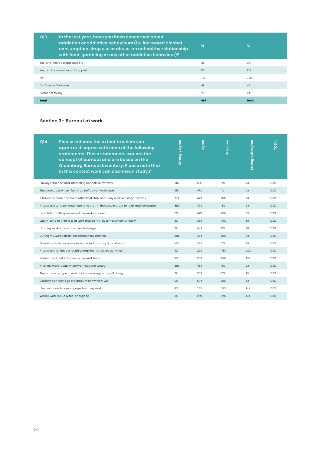| In the last year, have you been concerned about<br>Q13.<br>addiction or addictive behaviours (i.e. increased alcohol<br>consumption, drug use or abuse, an unhealthy relationship<br>with food, gambling or any other addictive behaviour)? | N   | $\%$ |
|---------------------------------------------------------------------------------------------------------------------------------------------------------------------------------------------------------------------------------------------|-----|------|
| Yes, and I have sought support                                                                                                                                                                                                              | 31  | 3%   |
| Yes, but I have not sought support                                                                                                                                                                                                          | 131 | 13%  |
| <b>No</b>                                                                                                                                                                                                                                   | 771 | 77%  |
| Don't know / Not sure                                                                                                                                                                                                                       | 41  | 4%   |
| Prefer not to say                                                                                                                                                                                                                           | 23  | 2%   |
| <b>Total</b>                                                                                                                                                                                                                                | 997 | 100% |

#### **Section 3 - Burnout at work**

| O14. | Please indicate the extent to which you<br>agree or disagree with each of the following<br>statements. These statements explore the<br>concept of burnout and are based on the<br>Oldenburg Burnout Inventory. Please note that,<br>in this context work can also mean study.? | <b>Strongly agree</b> | Agree | Disagree | <b>Strongly disagree</b> | <b>TOTAL</b> |
|------|--------------------------------------------------------------------------------------------------------------------------------------------------------------------------------------------------------------------------------------------------------------------------------|-----------------------|-------|----------|--------------------------|--------------|
|      | I always find new and interesting aspects in my work                                                                                                                                                                                                                           | 13%                   | 51%   | 31%      | 5%                       | 100%         |
|      | There are days when I feel tired before I arrive at work                                                                                                                                                                                                                       | 41%                   | 47%   | 11%      | 2%                       | 100%         |
|      | It happens more and more often that I talk about my work in a negative way                                                                                                                                                                                                     | 27%                   | 42%   | 25%      | 5%                       | 100%         |
|      | After work I tend to need more time than in the past in order to relax and feel better                                                                                                                                                                                         | 38%                   | 42%   | 18%      | 3%                       | 100%         |
|      | I can tolerate the pressure of my work very well                                                                                                                                                                                                                               | 6%                    | 47%   | 40%      | 7%                       | 100%         |
|      | Lately I tend to think less at work and do my job almost mechanically                                                                                                                                                                                                          | 8%                    | 35%   | 49%      | 8%                       | 100%         |
|      | I find my work to be a positive challenge                                                                                                                                                                                                                                      | 7%                    | 44%   | 41%      | 8%                       | 100%         |
|      | During my work I often feel emotionally drained                                                                                                                                                                                                                                | 28%                   | 43%   | 25%      | 3%                       | 100%         |
|      | Over time I can become disconnected from my type of work                                                                                                                                                                                                                       | 10%                   | 38%   | 47%      | 6%                       | 100%         |
|      | After working I have enough energy for my leisure activities                                                                                                                                                                                                                   | 4%                    | 22%   | 45%      | 29%                      | 100%         |
|      | Sometimes I feel sickened by my work tasks                                                                                                                                                                                                                                     | 11%                   | 33%   | 43%      | 13%                      | 100%         |
|      | After my work I usually feel worn out and weary                                                                                                                                                                                                                                | 38%                   | 45%   | 16%      | 2%                       | 100%         |
|      | This is the only type of work that I can imagine myself doing                                                                                                                                                                                                                  | 7%                    | 35%   | 47%      | 11%                      | 100%         |
|      | Usually I can manage the amount of my work well                                                                                                                                                                                                                                | 9%                    | 59%   | 26%      | 5%                       | 100%         |
|      | I feel more and more engaged with my work                                                                                                                                                                                                                                      | 4%                    | 24%   | 58%      | 14%                      | 100%         |
|      | When I work I usually feel energised                                                                                                                                                                                                                                           | 3%                    | 27%   | 52%      | 19%                      | 100%         |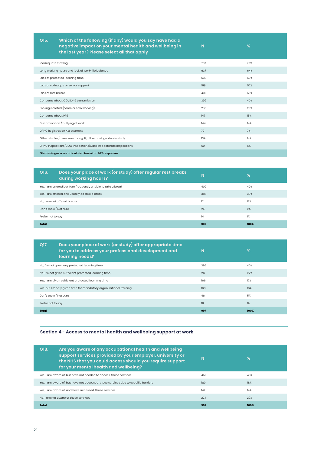| Q15.                | Which of the following (if any) would you say have had a<br>negative impact on your mental health and wellbeing in<br>the last year? Please select all that apply | N   | $\%$ |
|---------------------|-------------------------------------------------------------------------------------------------------------------------------------------------------------------|-----|------|
| Inadequate staffing |                                                                                                                                                                   | 700 | 70%  |
|                     | Long working hours and lack of work-life balance                                                                                                                  | 637 | 64%  |
|                     | Lack of protected learning time                                                                                                                                   | 533 | 53%  |
|                     | Lack of colleague or senior support                                                                                                                               | 518 | 52%  |
| Lack of rest breaks |                                                                                                                                                                   | 499 | 50%  |
|                     | Concerns about COVID-19 transmission                                                                                                                              | 399 | 40%  |
|                     | Feeling isolated (home or solo working)                                                                                                                           | 285 | 29%  |
| Concerns about PPF  |                                                                                                                                                                   | 147 | 15%  |
|                     | Discrimination / bullying at work                                                                                                                                 | 144 | 14%  |
|                     | GPhC Registration Assessment                                                                                                                                      | 72  | 7%   |
|                     | Other studies/assessments e.g. IP, other post-graduate study                                                                                                      | 139 | 14%  |
|                     | GPhC Inspections/CQC Inspections/Care Inspectorate Inspections                                                                                                    | 50  | 5%   |
|                     | *Percentages were calculated based on 997 responses                                                                                                               |     |      |

| Does your place of work (or study) offer regular rest breaks<br>Q16.<br>during working hours? | N   | $\%$  |
|-----------------------------------------------------------------------------------------------|-----|-------|
| Yes, I am offered but I am frequently unable to take a break                                  | 400 | 40%   |
| Yes, I am offered and usually do take a break                                                 | 388 | 39%   |
| No. I am not offered breaks                                                                   | 171 | 17%   |
| Don't know / Not sure                                                                         | 24  | 2%    |
| Prefer not to say                                                                             | 14  | $1\%$ |
| <b>Total</b>                                                                                  | 997 | 100%  |

| Does your place of work (or study) offer appropriate time<br>Q17.<br>for you to address your professional development and<br><b>learning needs?</b> | N   | $\%$ |
|-----------------------------------------------------------------------------------------------------------------------------------------------------|-----|------|
| No, I'm not given any protected learning time                                                                                                       | 395 | 40%  |
| No, I'm not given sufficient protected learning time                                                                                                | 217 | 22%  |
| Yes, I am given sufficient protected learning time                                                                                                  | 166 | 17%  |
| Yes, but I'm only given time for mandatory organisational training                                                                                  | 163 | 16%  |
| Don't know / Not sure                                                                                                                               | 46  | 5%   |
| Prefer not to say                                                                                                                                   | 10  | 1%   |
| <b>Total</b>                                                                                                                                        | 997 | 100% |

#### **Section 4 - Access to mental health and wellbeing support at work**

| Are you aware of any occupational health and wellbeing<br>Q18.<br>support services provided by your employer, university or<br>the NHS that you could access should you require support<br>for your mental health and wellbeing? | N   | ℁    |
|----------------------------------------------------------------------------------------------------------------------------------------------------------------------------------------------------------------------------------|-----|------|
| Yes, I am aware of, but have not needed to access, these services                                                                                                                                                                | 451 | 45%  |
| Yes, I am aware of, but have not accessed, these services due to specific barriers                                                                                                                                               | 180 | 18%  |
| Yes, I am aware of, and have accessed, these services                                                                                                                                                                            | 142 | 14%  |
| No. I am not aware of these services                                                                                                                                                                                             | 224 | 22%  |
| Total                                                                                                                                                                                                                            | 997 | 100% |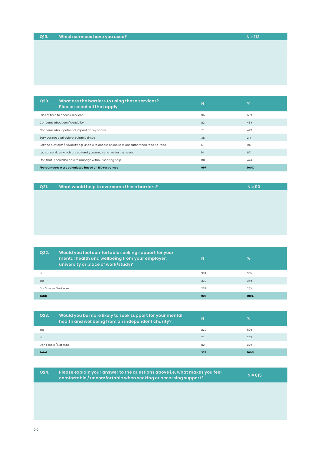2 2

| $N = 112$ |
|-----------|
|           |

| Q20. | What are the barriers to using these services?<br>Please select all that apply                | <b>N</b> | %    |
|------|-----------------------------------------------------------------------------------------------|----------|------|
|      | Lack of time to access services                                                               | 95       | 53%  |
|      | Concerns about confidentiality                                                                | 82       | 46%  |
|      | Concerns about potential impact on my career                                                  | 75       | 42%  |
|      | Services not available at suitable times                                                      | 38       | 21%  |
|      | Service platform / flexibility e.g. unable to access online sessions rather than face-to-face | 17       | 9%   |
|      | Lack of services which are culturally aware / sensitive for my needs                          | 14       | 8%   |
|      | I felt that I should be able to manage without seeking help                                   | 80       | 44%  |
|      | *Percentages were calculated based on 180 responses                                           | 997      | 100% |

| Q <sub>21</sub> | What would help to overcome these barriers? | $N = 90$ |
|-----------------|---------------------------------------------|----------|
|                 |                                             |          |

| Q22.                  | Would you feel comfortable seeking support for your<br>mental health and wellbeing from your employer,<br>university or place of work/study? | N   | %    |
|-----------------------|----------------------------------------------------------------------------------------------------------------------------------------------|-----|------|
| <b>No</b>             |                                                                                                                                              | 379 | 38%  |
| Yes                   |                                                                                                                                              | 339 | 34%  |
| Don't know / Not sure |                                                                                                                                              | 279 | 28%  |
| <b>Total</b>          |                                                                                                                                              | 997 | 100% |

| Q23.                  | Would you be more likely to seek support for your mental<br>health and wellbeing from an independent charity? | N   | ℀    |
|-----------------------|---------------------------------------------------------------------------------------------------------------|-----|------|
| Yes                   |                                                                                                               | 222 | 59%  |
| N <sub>o</sub>        |                                                                                                               | 75  | 20%  |
| Don't know / Not sure |                                                                                                               | 82  | 22%  |
| Total                 |                                                                                                               | 379 | 100% |

| O <sub>24</sub> | $^\prime$ Please explain your answer to the questions above i.e. what makes you feel $_\prime$<br>comfortable / uncomfortable when seeking or accessing support? | $N = 615$ |  |
|-----------------|------------------------------------------------------------------------------------------------------------------------------------------------------------------|-----------|--|
|                 |                                                                                                                                                                  |           |  |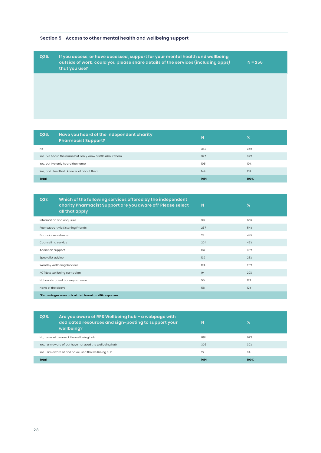#### **Section 5 - Access to other mental health and wellbeing support**

**Q25. If you access, or have accessed, support for your mental health and wellbeing outside of work, could you please share details of the services (including apps) that you use?** 

**N = 256**

| Q26.         | Have you heard of the independent charity<br><b>Pharmacist Support?</b> | N    | %    |
|--------------|-------------------------------------------------------------------------|------|------|
| No           |                                                                         | 343  | 34%  |
|              | Yes, I've heard the name but I only know a little about them            | 327  | 32%  |
|              | Yes, but I've only heard the name                                       | 195  | 19%  |
|              | Yes, and I feel that I know a lot about them                            | 149  | 15%  |
| <b>Total</b> |                                                                         | 1014 | 100% |

| Q27.                                                | Which of the following services offered by the independent<br>charity Pharmacist Support are you aware of? Please select<br>all that apply | N   | $\%$ |
|-----------------------------------------------------|--------------------------------------------------------------------------------------------------------------------------------------------|-----|------|
|                                                     | Information and enquiries                                                                                                                  | 312 | 66%  |
|                                                     | Peer support via Listening Friends                                                                                                         | 257 | 54%  |
| Financial assistance                                |                                                                                                                                            | 211 | 44%  |
| Counselling service                                 |                                                                                                                                            | 204 | 43%  |
| Addiction support                                   |                                                                                                                                            | 167 | 35%  |
| Specialist advice                                   |                                                                                                                                            | 132 | 28%  |
|                                                     | Wardley Wellbeing Services                                                                                                                 | 124 | 26%  |
|                                                     | ACTNow wellbeing campaign                                                                                                                  | 94  | 20%  |
|                                                     | National student bursary scheme                                                                                                            | 55  | 12%  |
| None of the above                                   |                                                                                                                                            | 58  | 12%  |
| *Percentages were calculated based on 476 responses |                                                                                                                                            |     |      |

| Are you aware of RPS Wellbeing hub – a webpage with<br>Q28.<br>dedicated resources and sign-posting to support your<br>wellbeing? | N    | %    |
|-----------------------------------------------------------------------------------------------------------------------------------|------|------|
| No, I am not aware of the wellbeing hub                                                                                           | 681  | 67%  |
| Yes, I am aware of but have not used the wellbeing hub                                                                            | 306  | 30%  |
| Yes, I am aware of and have used the wellbeing hub                                                                                | 27   | 3%   |
| <b>Total</b>                                                                                                                      | 1014 | 100% |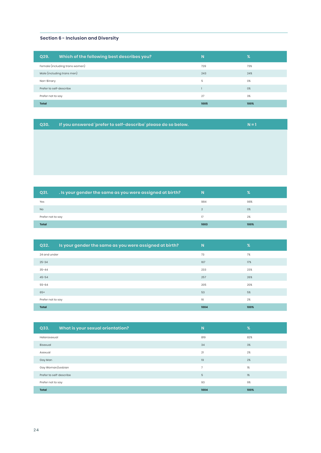#### **Section 6 - Inclusion and Diversity**

| Which of the following best describes you?<br>Q29. | N    | %    |
|----------------------------------------------------|------|------|
| Female (including trans women)                     | 729  | 73%  |
| Male (including trans men)                         | 243  | 24%  |
| Non-Binary                                         | 5    | 0%   |
| Prefer to self-describe                            |      | 0%   |
| Prefer not to say                                  | 27   | 3%   |
| <b>Total</b>                                       | 1005 | 100% |

| $\sqrt{Q}30.$ | If you answered 'prefer to self-describe' please do so below. | $N = 1$ |
|---------------|---------------------------------------------------------------|---------|
|               |                                                               |         |

| Q31.              | . Is your gender the same as you were assigned at birth? | N              | %    |
|-------------------|----------------------------------------------------------|----------------|------|
| Yes               |                                                          | 984            | 98%  |
| <b>No</b>         |                                                          | $\mathfrak{D}$ | 0%   |
| Prefer not to say |                                                          | 17             | 2%   |
| <b>Total</b>      |                                                          | 1003           | 100% |

| Is your gender the same as you were assigned at birth?<br>Q32. | <b>N</b> | %    |
|----------------------------------------------------------------|----------|------|
| 24 and under                                                   | 73       | 7%   |
| $25 - 34$                                                      | 167      | 17%  |
| $35 - 44$                                                      | 233      | 23%  |
| $45 - 54$                                                      | 257      | 26%  |
| $55 - 64$                                                      | 205      | 20%  |
| $65+$                                                          | 53       | 5%   |
| Prefer not to say                                              | 16       | 2%   |
| <b>Total</b>                                                   | 1004     | 100% |

| What is your sexual orientation?<br>Q33. | N              | $\frac{9}{6}$ |
|------------------------------------------|----------------|---------------|
| Heterosexual                             | 819            | 82%           |
| Bisexual                                 | 34             | 3%            |
| Asexual                                  | 21             | 2%            |
| Gay Man                                  | 19             | 2%            |
| Gay Woman/Lesbian                        | $\overline{7}$ | 1%            |
| Prefer to self-describe                  | 5              | 1%            |
| Prefer not to say                        | 93             | 9%            |
| <b>Total</b>                             | 1004           | 100%          |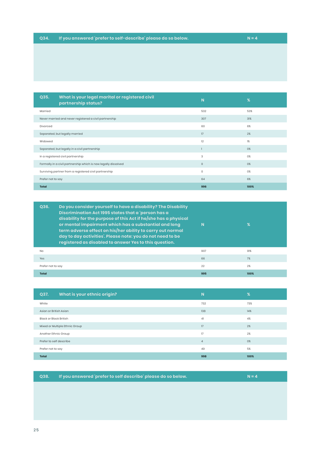**Q35. What is your legal marital or registered civil partnership status? <sup>N</sup> %** Married 532 53% and 53% of the set of the set of the set of the set of the set of the set of the set of the set of the set of the set of the set of the set of the set of the set of the set of the set of the set of the set Never married and never registered a civil partnership 307 31%  $\,$  Divorced  $\,$  60  $\,$  6%  $\,$  6%  $\,$  6%  $\,$  6%  $\,$  6%  $\,$  6%  $\,$  6%  $\,$  6%  $\,$  6%  $\,$  6%  $\,$  6%  $\,$  6%  $\,$  6%  $\,$  6%  $\,$  6%  $\,$  6%  $\,$  6%  $\,$  6%  $\,$  6%  $\,$  6%  $\,$  6%  $\,$  6%  $\,$  6%  $\,$  6%  $\,$  6% Separated, but legally married 17 2% and 200 minutes and 200 minutes and 200 minutes and 200 minutes and 200 minutes and 200 minutes and 200 minutes and 200 minutes and 200 minutes and 200 minutes and 200 minutes and 200 m Widowed 12 1% Separated, but legally in a civil partnership 1 0% In a registered civil partnership 3 0% Formally in a civil partnership which is now legally dissolved 0 0% Surviving partner from a registered civil partnership and the comparation of the comparation of the comparation of  $\alpha$ Prefer not to say 6% and the same control of the same control of the same control of the same control of the same control of the same control of the same control of the same control of the same control of the same control **Total 996 100%**

| Do you consider yourself to have a disability? The Disability<br>O36.<br>Discrimination Act 1995 states that a 'person has a<br>disability for the purpose of this Act if he/she has a physical<br>or mental impairment which has a substantial and long<br>term adverse effect on his/her ability to carry out normal<br>day to day activities'. Please note: you do not need to be<br>registered as disabled to answer Yes to this question. | N   | %    |
|------------------------------------------------------------------------------------------------------------------------------------------------------------------------------------------------------------------------------------------------------------------------------------------------------------------------------------------------------------------------------------------------------------------------------------------------|-----|------|
| N <sub>O</sub>                                                                                                                                                                                                                                                                                                                                                                                                                                 | 907 | 91%  |
| Yes                                                                                                                                                                                                                                                                                                                                                                                                                                            | 66  | 7%   |
| Prefer not to say                                                                                                                                                                                                                                                                                                                                                                                                                              | 22  | 2%   |
| <b>Total</b>                                                                                                                                                                                                                                                                                                                                                                                                                                   | 995 | 100% |

| What is your ethnic origin?<br>Q37. | N.             | %    |
|-------------------------------------|----------------|------|
| White                               | 732            | 73%  |
| Asian or British Asian              | 138            | 14%  |
| Black or Black British              | 41             | 4%   |
| Mixed or Multiple Ethnic Group      | 17             | 2%   |
| Another Ethnic Group                | 17             | 2%   |
| Prefer to self describe             | $\overline{4}$ | 0%   |
| Prefer not to say                   | 49             | 5%   |
| <b>Total</b>                        | 998            | 100% |

**Q38. If you answered 'prefer to self describe' please do so below. N = 4**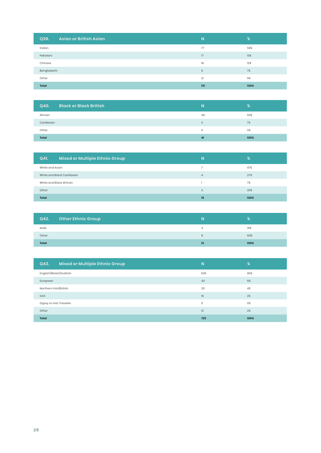| <b>Asian or British Asian</b><br>Q39. | N           | %    |
|---------------------------------------|-------------|------|
| Indian                                | 77          | 59%  |
| Pakistani                             | 17          | 13%  |
| Chinese                               | 16          | 12%  |
| Bangladeshi                           | $\mathsf g$ | 7%   |
| Other                                 | 12          | 9%   |
| <b>Total</b>                          | 131         | 100% |

| <b>Black or Black British</b><br>Q40. | N  | %    |
|---------------------------------------|----|------|
| African                               | 38 | 93%  |
| Caribbean                             | 3  | 7%   |
| Other                                 | 0  | 0%   |
| <b>Total</b>                          | 41 | 100% |

| <b>Mixed or Multiple Ethnic Group</b><br>Q41. | N              | %    |
|-----------------------------------------------|----------------|------|
| White and Asian                               |                | 47%  |
| White and Black Caribbean                     | $\overline{4}$ | 27%  |
| White and Black African                       |                | 7%   |
| Other                                         | 3              | 20%  |
| <b>Total</b>                                  | 15             | 100% |

| Q42.  | <b>Other Ethnic Group</b> | N  |      |
|-------|---------------------------|----|------|
| Arab  |                           | Δ  | 31%  |
| Other |                           | 9  | 69%  |
| Total |                           | 13 | 100% |

| Mixed or Multiple Ethnic Group<br>Q43. | N.      | $\frac{9}{6}$ |
|----------------------------------------|---------|---------------|
| English/Welsh/Scottish                 | 625     | 86%           |
| European                               | 43      | 6%            |
| Northern Irish/British                 | 29      | 4%            |
| Irish                                  | 16      | 2%            |
| Gypsy or Irish Traveller               | $\circ$ | 0%            |
| Other                                  | 12      | 2%            |
| Total                                  | 725     | 100%          |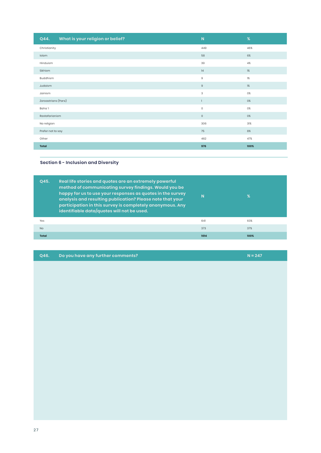| What is your religion or belief?<br>Q44. | N            | %     |
|------------------------------------------|--------------|-------|
| Christianity                             | 449          | 46%   |
| Islam                                    | 58           | 6%    |
| Hinduism                                 | 39           | 4%    |
| Sikhism                                  | 14           | $1\%$ |
| Buddhism                                 | $\mathsf g$  | $1\%$ |
| Judaism                                  | $\mathsf g$  | $1\%$ |
| Jainism                                  | 3            | 0%    |
| Zoroastrians (Parsi)                     | $\mathbf{1}$ | 0%    |
| Baha <sup>'</sup> l                      | $\mathbb O$  | 0%    |
| Rastafarianism                           | $\mathbb O$  | 0%    |
| No religion                              | 306          | 31%   |
| Prefer not to say                        | 75           | 8%    |
| Other                                    | 462          | 47%   |
| Total                                    | 976          | 100%  |

#### **Section 6 - Inclusion and Diversity**

| Q45.           | Real life stories and quotes are an extremely powerful<br>method of communicating survey findings. Would you be<br>happy for us to use your responses as quotes in the survey<br>analysis and resulting publication? Please note that your<br>participation in this survey is completely anonymous. Any<br>identifiable data/quotes will not be used. | N <sub>1</sub> | %    |
|----------------|-------------------------------------------------------------------------------------------------------------------------------------------------------------------------------------------------------------------------------------------------------------------------------------------------------------------------------------------------------|----------------|------|
| Yes            |                                                                                                                                                                                                                                                                                                                                                       | 641            | 63%  |
| N <sub>O</sub> |                                                                                                                                                                                                                                                                                                                                                       | 373            | 37%  |
| <b>Total</b>   |                                                                                                                                                                                                                                                                                                                                                       | 1014           | 100% |

|  | Q46. Do you have any further comments? | $N = 247$ |
|--|----------------------------------------|-----------|
|--|----------------------------------------|-----------|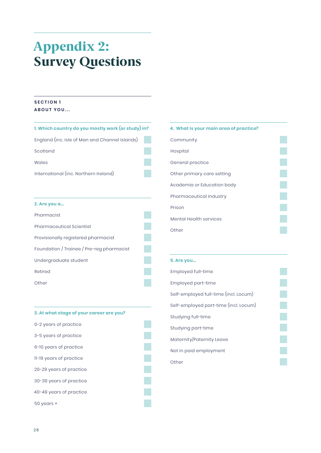## <span id="page-29-0"></span>Appendix 2: Survey Questions

#### **SECTION 1 ABOUT YOU...**

| 1. Which country do you mostly work (or study) in? |  |
|----------------------------------------------------|--|
| England (inc. Isle of Man and Channel Islands)     |  |
| Scotland                                           |  |
| Wales                                              |  |
| International (inc. Northern Ireland)              |  |
|                                                    |  |
| 2. Are you a                                       |  |
| Pharmacist                                         |  |
| <b>Pharmaceutical Scientist</b>                    |  |
| Provisionally registered pharmacist                |  |
| Foundation / Trainee / Pre-reg pharmacist          |  |
| Undergraduate student                              |  |
| Retired                                            |  |
| Other                                              |  |
|                                                    |  |

| 4. What is your main area of practice? |  |
|----------------------------------------|--|
| Community                              |  |
| Hospital                               |  |
| General practice                       |  |
| Other primary care setting             |  |
| Academia or Education body             |  |
| Pharmaceutical Industry                |  |
| Prison                                 |  |

Other

Mental Health services

#### **5. Are you…**

| Employed full-time                    |
|---------------------------------------|
| Employed part-time                    |
| Self-employed full-time (incl. Locum) |
| Self-employed part-time (incl. Locum) |
| Studying full-time                    |
| Studying part-time                    |
| Maternity/Paternity Leave             |
| Not in paid employment                |
| Other                                 |

| 3. At what stage of your career are you? |  |
|------------------------------------------|--|
| 0-2 years of practice                    |  |
| 3-5 years of practice                    |  |
| 6-10 years of practice                   |  |
| 11-19 years of practice                  |  |
| 20-29 years of practice                  |  |
| 30-39 years of practice                  |  |
| 40-49 years of practice                  |  |
| $50$ years $+$                           |  |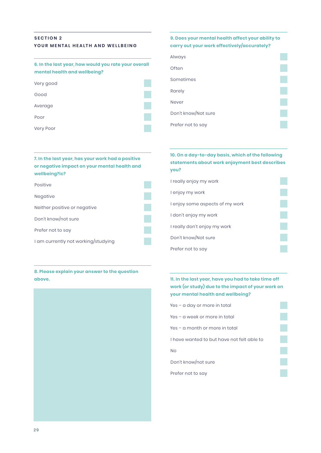#### **SECTION 2 YOUR MENTAL HEALTH AND WELLBEING**

#### **6. In the last year, how would you rate your overall mental health and wellbeing?**

| Very good |  |
|-----------|--|
| Good      |  |
| Average   |  |
| Poor      |  |
|           |  |

Very Poor

#### **7. In the last year, has your work had a positive or negative impact on your mental health and wellbeing?ic?**



**8. Please explain your answer to the question above.**



#### **9. Does your mental health affect your ability to carry out your work effectively/accurately?**

| Always              |  |
|---------------------|--|
| Often               |  |
| Sometimes           |  |
| Rarely              |  |
| Never               |  |
| Don't know/Not sure |  |
| Prefer not to say   |  |

#### **10. On a day-to-day basis, which of the following statements about work enjoyment best describes you?**

| I really enjoy my work          |  |
|---------------------------------|--|
| I enjoy my work                 |  |
| I enjoy some aspects of my work |  |
| I don't enjoy my work           |  |
| I really don't enjoy my work    |  |
| Don't know/Not sure             |  |
| Prefer not to say               |  |

#### **11. In the last year, have you had to take time off work (or study) due to the impact of your work on your mental health and wellbeing?**

Yes – a day or more in total Yes – a week or more in total Yes – a month or more in total I have wanted to but have not felt able to No Don't know/not sure Prefer not to say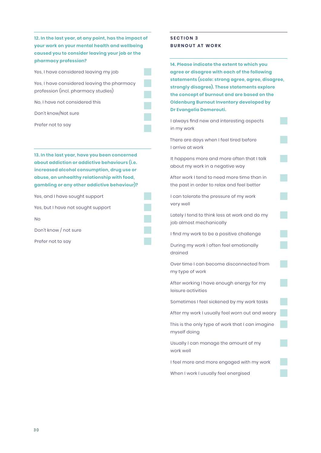**12. In the last year, at any point, has the impact of your work on your mental health and wellbeing caused you to consider leaving your job or the pharmacy profession?**

Yes, I have considered leaving my job

Yes, I have considered leaving the pharmacy profession (incl. pharmacy studies)

No, I have not considered this

Don't know/Not sure

Prefer not to say

**13. In the last year, have you been concerned about addiction or addictive behaviours (i.e. increased alcohol consumption, drug use or abuse, an unhealthy relationship with food, gambling or any other addictive behaviour)?**

Yes, and I have sought support

Yes, but I have not sought support

No

Don't know / not sure

Prefer not to say

#### **SECTION 3 BURNOUT AT WORK**

**14. Please indicate the extent to which you agree or disagree with each of the following statements (scale: strong agree, agree, disagree, strongly disagree). These statements explore the concept of burnout and are based on the Oldenburg Burnout Inventory developed by Dr Evangelia Demerouti.**

I always find new and interesting aspects in my work

There are days when I feel tired before I arrive at work

It happens more and more often that I talk about my work in a negative way

After work I tend to need more time than in the past in order to relax and feel better

I can tolerate the pressure of my work very well

Lately I tend to think less at work and do my job almost mechanically

I find my work to be a positive challenge

During my work I often feel emotionally drained

Over time I can become disconnected from my type of work

After working I have enough energy for my leisure activities

Sometimes I feel sickened by my work tasks

After my work I usually feel worn out and weary

This is the only type of work that I can imagine myself doing

Usually I can manage the amount of my work well

I feel more and more engaged with my work

When I work I usually feel energised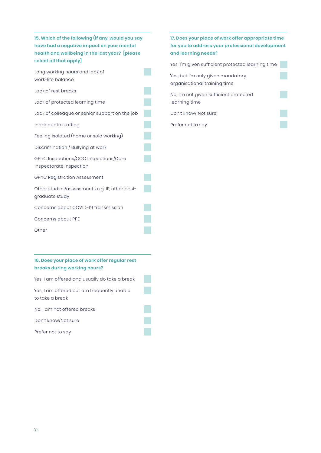**15. Which of the following (if any, would you say have had a negative impact on your mental health and wellbeing in the last year? [please select all that apply]**

Long working hours and lack of work-life balance

- Lack of rest breaks
- Lack of protected learning time

Lack of colleague or senior support on the job

Inadequate staffing

Feeling isolated (home or solo working)

Discrimination / Bullying at work

GPhC Inspections/CQC Inspections/Care Inspectorate Inspection

GPhC Registration Assessment

Other studies/assessments e.g. IP, other postgraduate study

Concerns about COVID-19 transmission

Concerns about PPE

Other

#### **16. Does your place of work offer regular rest breaks during working hours?**

Yes, I am offered and usually do take a break

Yes, I am offered but am frequently unable to take a break

No, I am not offered breaks

Don't know/Not sure

Prefer not to say

### **17. Does your place of work offer appropriate time for you to address your professional development and learning needs?** Yes, I'm given sufficient protected learning time

Yes, but I'm only given mandatory organisational training time No, I'm not given sufficient protected learning time Don't know/ Not sure

Prefer not to say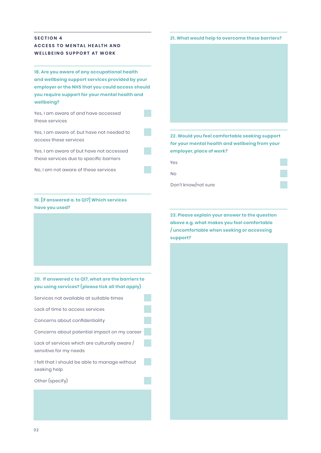#### **SECTION 4 ACCESS TO MENTAL HEALTH AND WELLBEING SUPPORT AT WORK**

**18. Are you aware of any occupational health and wellbeing support services provided by your employer or the NHS that you could access should you require support for your mental health and wellbeing?**

Yes, I am aware of and have accessed these services

Yes, I am aware of, but have not needed to access these services

Yes, I am aware of but have not accessed these services due to specific barriers

No, I am not aware of these services

#### **19. [if answered a. to Q17] Which services have you used?**

#### **20. If answered c to Q17, what are the barriers to you using services? (please tick all that apply)**

| Services not available at suitable times                                |  |
|-------------------------------------------------------------------------|--|
| Lack of time to access services                                         |  |
| Concerns about confidentiality                                          |  |
| Concerns about potential impact on my career                            |  |
| Lack of services which are culturally aware /<br>sensitive for my needs |  |
| I felt that I should be able to manage without<br>seeking help          |  |
| Other (specify)                                                         |  |
|                                                                         |  |

#### **21. What would help to overcome these barriers?**



**22. Would you feel comfortable seeking support for your mental health and wellbeing from your employer, place of work?**

Yes

No

Don't know/not sure

**23. Please explain your answer to the question above e.g. what makes you feel comfortable / uncomfortable when seeking or accessing support?**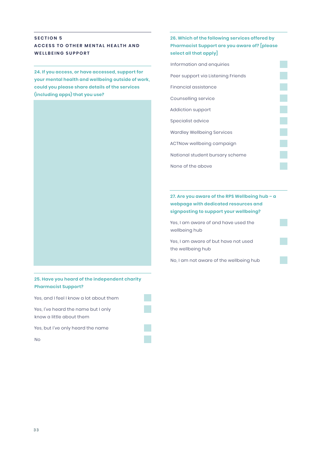#### **SECTION 5 A C C E S S T O O T H E R M E N TA L H E A LT H A N D WELLBEING SUPPORT**

**24. If you access, or have accessed, support for your mental health and wellbeing outside of work, could you please share details of the services (including apps) that you use?** 



#### **25. Have you heard of the independent charity Pharmacist Support?**

Yes, and I feel I know a lot about them

Yes, I've heard the name but I only know a little about them

Yes, but I've only heard the name

No

#### **26. Which of the following services offered by Pharmacist Support are you aware of? [please select all that apply]**

| Information and enquiries          |  |
|------------------------------------|--|
| Peer support via Listening Friends |  |
| Financial assistance               |  |
| Counselling service                |  |
| Addiction support                  |  |
| Specialist advice                  |  |
| <b>Wardley Wellbeing Services</b>  |  |
| ACTNow wellbeing campaign          |  |
| National student bursary scheme    |  |
| None of the above                  |  |
|                                    |  |

#### **27. Are you aware of the RPS Wellbeing hub – a webpage with dedicated resources and signposting to support your wellbeing?**

Yes, I am aware of and have used the wellbeing hub

Yes, I am aware of but have not used the wellbeing hub

No, I am not aware of the wellbeing hub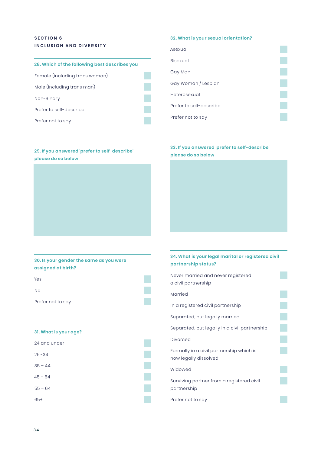#### **SECTION 6 INCLUSION AND DIVERSITY**

| 28. Which of the following best describes you |  |
|-----------------------------------------------|--|
| Female (including trans woman)                |  |
| Male (including trans man)                    |  |
| Non-Binary                                    |  |
| Prefer to self-describe                       |  |
| Prefer not to say                             |  |

**29. If you answered 'prefer to self-describe'**

#### **32. What is your sexual orientation?**

| Asexual                 |  |
|-------------------------|--|
| Bisexual                |  |
| Gay Man                 |  |
| Gay Woman / Lesbian     |  |
| Heterosexual            |  |
| Prefer to self-describe |  |
| Prefer not to say       |  |

#### **33. If you answered 'prefer to self-describe' please do so below**

**30. Is your gender the same as you were assigned at birth?**

Yes No Prefer not to say

**please do so below**

#### **31. What is your age?**



#### **34. What is your legal marital or registered civil partnership status?**

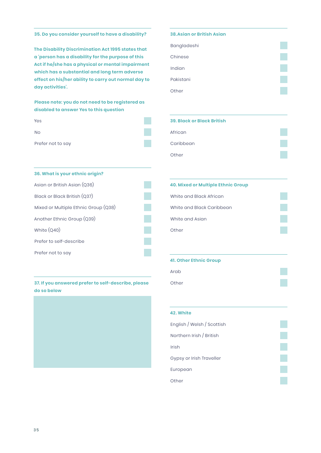**35. Do you consider yourself to have a disability?**

**The Disability Discrimination Act 1995 states that a 'person has a disability for the purpose of this Act if he/she has a physical or mental impairment which has a substantial and long term adverse effect on his/her ability to carry out normal day to day activities'.**

**Please note: you do not need to be registered as disabled to answer Yes to this question**

| Yes               |  |
|-------------------|--|
| No.               |  |
| Prefer not to say |  |

**36. What is your ethnic origin?**

#### **38.Asian or British Asian**

| Bangladeshi |  |
|-------------|--|
| Chinese     |  |
| Indian      |  |
| Pakistani   |  |
| Other       |  |

| <b>39. Black or Black British</b> |  |
|-----------------------------------|--|
| African                           |  |
| Caribbean                         |  |
| Other                             |  |

### Asian or British Asian (Q36) Black or Black British (Q37) Mixed or Multiple Ethnic Group (Q38) Another Ethnic Group (Q39) White (Q40) Prefer to self-describe Prefer not to say

#### **37. If you answered prefer to self-describe, please do so below**



| <b>40. Mixed or Multiple Ethnic Group</b> |  |
|-------------------------------------------|--|
| White and Black African                   |  |
| White and Black Caribbean                 |  |
| White and Asian                           |  |
| Other                                     |  |
|                                           |  |

#### **41. Other Ethnic Group**

| Arab  |  |
|-------|--|
| Other |  |

| 42. White                  |  |
|----------------------------|--|
| English / Welsh / Scottish |  |
| Northern Irish / British   |  |
| Irish                      |  |
| Gypsy or Irish Traveller   |  |
| European                   |  |
| Other                      |  |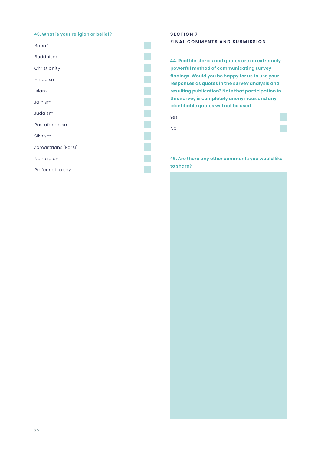#### **43. What is your religion or belief?**



#### **SECTION 7 FINAL COMMENTS AND SUBMISSION**

**44. Real life stories and quotes are an extremely powerful method of communicating survey findings. Would you be happy for us to use your responses as quotes in the survey analysis and resulting publication? Note that participation in this survey is completely anonymous and any identifiable quotes will not be used**

Yes

No

#### **45. Are there any other comments you would like to share?**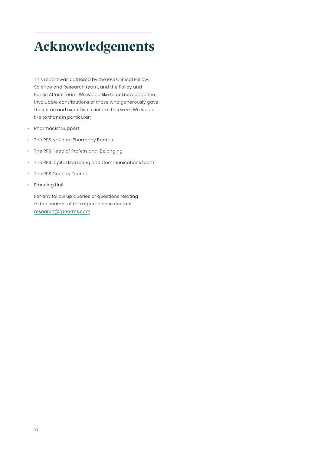### Acknowledgements

This report was authored by the RPS Clinical Fellow, Science and Research team, and the Policy and Public Affairs team. We would like to acknowledge the invaluable contributions of those who generously gave their time and expertise to inform this work. We would like to thank in particular:

- Pharmacist Support
- The RPS National Pharmacy Boards
- The RPS Head of Professional Belonging
- The RPS Digital Marketing and Communications team
- The RPS Country Teams
- Planning Unit

For any follow up queries or questions relating to the content of this report please contact research@rpharms.com